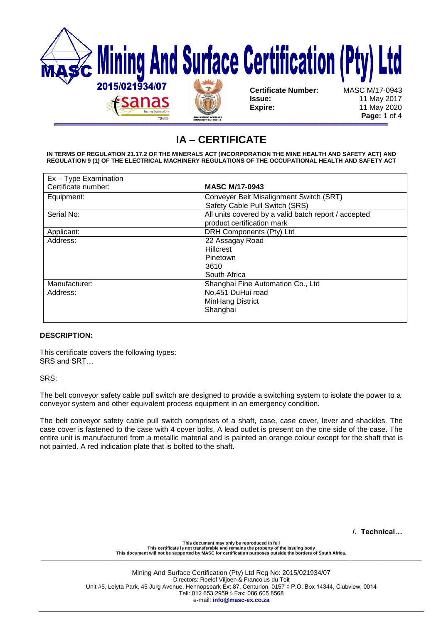

# **IA – CERTIFICATE**

**IN TERMS OF REGULATION 21.17.2 OF THE MINERALS ACT (INCORPORATION THE MINE HEALTH AND SAFETY ACT) AND REGULATION 9 (1) OF THE ELECTRICAL MACHINERY REGULATIONS OF THE OCCUPATIONAL HEALTH AND SAFETY ACT** 

| Ex - Type Examination |                                                      |  |
|-----------------------|------------------------------------------------------|--|
| Certificate number:   | <b>MASC M/17-0943</b>                                |  |
| Equipment:            | Conveyer Belt Misalignment Switch (SRT)              |  |
|                       | Safety Cable Pull Switch (SRS)                       |  |
| Serial No:            | All units covered by a valid batch report / accepted |  |
|                       | product certification mark                           |  |
| Applicant:            | DRH Components (Pty) Ltd                             |  |
| Address:              | 22 Assagay Road                                      |  |
|                       | <b>Hillcrest</b>                                     |  |
|                       | Pinetown                                             |  |
|                       | 3610                                                 |  |
|                       | South Africa                                         |  |
| Manufacturer:         | Shanghai Fine Automation Co., Ltd                    |  |
| Address:              | No.451 DuHui road                                    |  |
|                       | MinHang District                                     |  |
|                       | Shanghai                                             |  |
|                       |                                                      |  |

# **DESCRIPTION:**

This certificate covers the following types: SRS and SRT…

SRS:

The belt conveyor safety cable pull switch are designed to provide a switching system to isolate the power to a conveyor system and other equivalent process equipment in an emergency condition.

The belt conveyor safety cable pull switch comprises of a shaft, case, case cover, lever and shackles. The case cover is fastened to the case with 4 cover bolts. A lead outlet is present on the one side of the case. The entire unit is manufactured from a metallic material and is painted an orange colour except for the shaft that is not painted. A red indication plate that is bolted to the shaft.

**/. Technical…**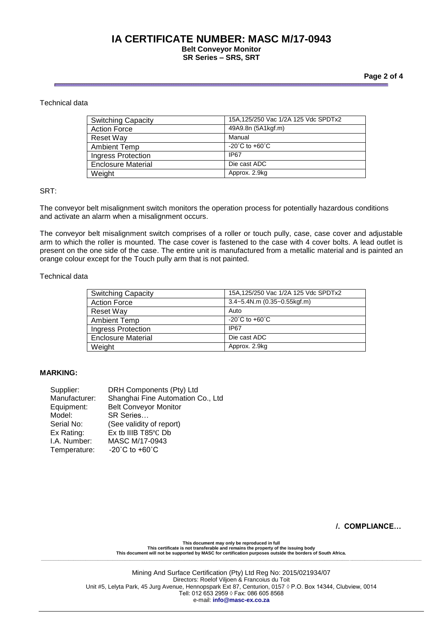# **IA CERTIFICATE NUMBER: MASC M/17-0943**

#### **Belt Conveyor Monitor SR Series – SRS, SRT**

#### **Page 2 of 4**

## Technical data

| <b>Switching Capacity</b> | 15A, 125/250 Vac 1/2A 125 Vdc SPDTx2 |
|---------------------------|--------------------------------------|
| <b>Action Force</b>       | 49A9.8n (5A1kgf.m)                   |
| Reset Way                 | Manual                               |
| <b>Ambient Temp</b>       | $-20^{\circ}$ C to $+60^{\circ}$ C   |
| Ingress Protection        | IP <sub>67</sub>                     |
| <b>Enclosure Material</b> | Die cast ADC                         |
| Weight                    | Approx. 2.9kg                        |

# SRT:

The conveyor belt misalignment switch monitors the operation process for potentially hazardous conditions and activate an alarm when a misalignment occurs.

The conveyor belt misalignment switch comprises of a roller or touch pully, case, case cover and adjustable arm to which the roller is mounted. The case cover is fastened to the case with 4 cover bolts. A lead outlet is present on the one side of the case. The entire unit is manufactured from a metallic material and is painted an orange colour except for the Touch pully arm that is not painted.

#### Technical data

| <b>Switching Capacity</b> | 15A, 125/250 Vac 1/2A 125 Vdc SPDTx2  |
|---------------------------|---------------------------------------|
| <b>Action Force</b>       | $3.4 - 5.4$ N.m $(0.35 - 0.55$ kgf.m) |
| Reset Way                 | Auto                                  |
| <b>Ambient Temp</b>       | $-20^{\circ}$ C to $+60^{\circ}$ C    |
| <b>Ingress Protection</b> | IP67                                  |
| <b>Enclosure Material</b> | Die cast ADC                          |
| Weight                    | Approx. 2.9kg                         |

#### **MARKING:**

| Supplier:     | DRH Components (Pty) Ltd             |  |
|---------------|--------------------------------------|--|
| Manufacturer: | Shanghai Fine Automation Co., Ltd    |  |
| Equipment:    | <b>Belt Conveyor Monitor</b>         |  |
| Model:        | SR Series                            |  |
| Serial No:    | (See validity of report)             |  |
| Ex Rating:    | Ex tb IIIB T85°C Db                  |  |
| I.A. Number:  | MASC M/17-0943                       |  |
| Temperature:  | -20 $^{\circ}$ C to +60 $^{\circ}$ C |  |

#### **/. COMPLIANCE…**

**This document may only be reproduced in full This certificate is not transferable and remains the property of the issuing body This document will not be supported by MASC for certification purposes outside the borders of South Africa. \_\_\_\_\_\_\_\_\_\_\_\_\_\_\_\_\_\_\_\_\_\_\_\_\_\_\_\_\_\_\_\_\_\_\_\_\_\_\_\_\_\_\_\_\_\_\_\_\_\_\_\_\_\_\_\_\_\_\_\_\_\_\_\_\_\_\_\_\_\_\_\_\_\_\_\_\_\_\_\_\_\_\_\_\_\_\_\_\_\_\_\_\_\_\_\_\_\_\_\_\_\_\_\_\_\_\_\_\_\_\_\_\_\_\_\_\_\_\_\_\_\_\_\_\_\_\_\_\_\_\_\_\_\_\_\_\_\_\_\_\_\_\_\_\_\_\_\_\_\_\_\_\_\_**

> Mining And Surface Certification (Pty) Ltd Reg No: 2015/021934/07 Directors: Roelof Viljoen & Francoius du Toit Unit #5, Lelyta Park, 45 Jurg Avenue, Hennopspark Ext 87, Centurion, 0157 ◊ P.O. Box 14344, Clubview, 0014 Tell: 012 653 2959 ◊ Fax: 086 605 8568 e-mail: **info@masc-ex.co.za**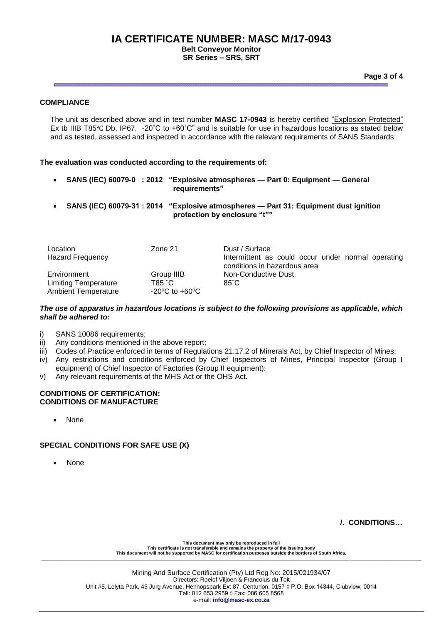# **IA CERTIFICATE NUMBER: MASC M/17-0943**

**Belt Conveyor Monitor SR Series – SRS, SRT**

**Page 3 of 4**

# **COMPLIANCE**

The unit as described above and in test number **MASC 17-0943** is hereby certified "Explosion Protected" Ex tb IIIB T85℃ Db, IP67, -20℃ to +60℃" and is suitable for use in hazardous locations as stated below and as tested, assessed and inspected in accordance with the relevant requirements of SANS Standards:

**The evaluation was conducted according to the requirements of:** 

- **SANS (IEC) 60079-0 : 2012 "Explosive atmospheres — Part 0: Equipment — General requirements"**
- **SANS (IEC) 60079-31 : 2014 "Explosive atmospheres — Part 31: Equipment dust ignition protection by enclosure "t""**

| Location<br><b>Hazard Frequency</b>                                      | Zone 21                                                    | Dust / Surface<br>Intermittent as could occur under normal operating<br>conditions in hazardous area |
|--------------------------------------------------------------------------|------------------------------------------------------------|------------------------------------------------------------------------------------------------------|
| Environment<br><b>Limiting Temperature</b><br><b>Ambient Temperature</b> | Group IIIB<br>T85 °C<br>$-20^{\circ}$ C to $+60^{\circ}$ C | Non-Conductive Dust<br>$85^\circ$ C                                                                  |

#### *The use of apparatus in hazardous locations is subject to the following provisions as applicable, which shall be adhered to:*

- i) SANS 10086 requirements;
- ii) Any conditions mentioned in the above report;
- iii) Codes of Practice enforced in terms of Regulations 21.17.2 of Minerals Act, by Chief Inspector of Mines;
- iv) Any restrictions and conditions enforced by Chief Inspectors of Mines, Principal Inspector (Group I equipment) of Chief Inspector of Factories (Group II equipment);
- v) Any relevant requirements of the MHS Act or the OHS Act.

#### **CONDITIONS OF CERTIFICATION: CONDITIONS OF MANUFACTURE**

None

# **SPECIAL CONDITIONS FOR SAFE USE (X)**

None

 **/. CONDITIONS…**

**This document may only be reproduced in full This certificate is not transferable and remains the property of the issuing body This document will not be supported by MASC for certification purposes outside the borders of South Africa. \_\_\_\_\_\_\_\_\_\_\_\_\_\_\_\_\_\_\_\_\_\_\_\_\_\_\_\_\_\_\_\_\_\_\_\_\_\_\_\_\_\_\_\_\_\_\_\_\_\_\_\_\_\_\_\_\_\_\_\_\_\_\_\_\_\_\_\_\_\_\_\_\_\_\_\_\_\_\_\_\_\_\_\_\_\_\_\_\_\_\_\_\_\_\_\_\_\_\_\_\_\_\_\_\_\_\_\_\_\_\_\_\_\_\_\_\_\_\_\_\_\_\_\_\_\_\_\_\_\_\_\_\_\_\_\_\_\_\_\_\_\_\_\_\_\_\_\_\_\_\_\_\_\_**